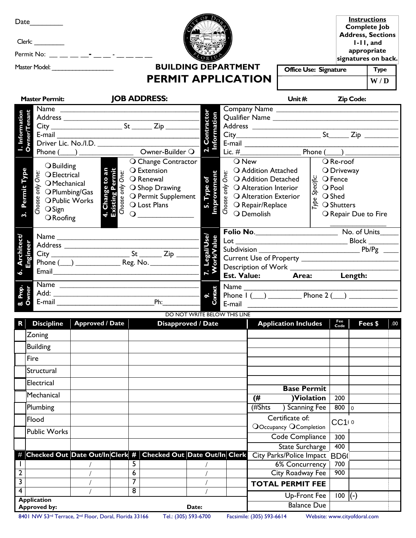| Date                 | Permit No: _ _ _ _ _ _ _ _ _ _ _                                                                                                                                                                                                                                           |                        |  |                            |                                                                 |                         |                    |       |                                                                      |                                                 |                                             |                  |                  | <b>Instructions</b><br><b>Complete Job</b><br><b>Address, Sections</b><br>$l-l$ , and<br>appropriate<br>signatures on back. |  |
|----------------------|----------------------------------------------------------------------------------------------------------------------------------------------------------------------------------------------------------------------------------------------------------------------------|------------------------|--|----------------------------|-----------------------------------------------------------------|-------------------------|--------------------|-------|----------------------------------------------------------------------|-------------------------------------------------|---------------------------------------------|------------------|------------------|-----------------------------------------------------------------------------------------------------------------------------|--|
|                      |                                                                                                                                                                                                                                                                            |                        |  | <b>BUILDING DEPARTMENT</b> |                                                                 |                         |                    |       |                                                                      | <b>Office Use: Signature</b>                    |                                             |                  | <b>Type</b>      |                                                                                                                             |  |
|                      |                                                                                                                                                                                                                                                                            |                        |  |                            | <b>PERMIT APPLICATION</b>                                       |                         |                    |       |                                                                      |                                                 |                                             |                  |                  | W/D                                                                                                                         |  |
|                      | <b>Master Permit:</b>                                                                                                                                                                                                                                                      |                        |  |                            | <b>JOB ADDRESS:</b>                                             |                         |                    |       |                                                                      | Unit $#$                                        |                                             |                  | <b>Zip Code:</b> |                                                                                                                             |  |
|                      |                                                                                                                                                                                                                                                                            |                        |  |                            |                                                                 |                         |                    |       |                                                                      |                                                 |                                             |                  |                  |                                                                                                                             |  |
|                      |                                                                                                                                                                                                                                                                            |                        |  |                            |                                                                 |                         |                    |       |                                                                      |                                                 |                                             |                  |                  |                                                                                                                             |  |
|                      |                                                                                                                                                                                                                                                                            |                        |  |                            |                                                                 |                         |                    |       |                                                                      |                                                 |                                             |                  |                  |                                                                                                                             |  |
| I. Information       |                                                                                                                                                                                                                                                                            |                        |  |                            |                                                                 | <b>Contractor</b>       |                    |       | E-mail $\qquad \qquad$                                               |                                                 |                                             |                  |                  |                                                                                                                             |  |
|                      | Phone $(\_\_)$ _____________                                                                                                                                                                                                                                               |                        |  |                            | Owner-Builder Q                                                 |                         |                    |       |                                                                      |                                                 | Phone $(\_\ )$                              |                  |                  |                                                                                                                             |  |
|                      | <b>O</b> Building                                                                                                                                                                                                                                                          |                        |  |                            | O Change Contractor                                             |                         |                    | O New |                                                                      |                                                 |                                             | O Re-roof        |                  |                                                                                                                             |  |
| Permit Type          | Solution<br>Solution<br>Solution<br>Solution<br>Solution<br>Solution<br>Solution<br>Solution<br>Solution<br>Solution<br>Solution<br>Solution<br>Solution<br>Solution<br>Solution<br>Solution<br>Solution<br>Solution<br>Solution<br>Solution<br>Solution<br>Solution<br>So |                        |  |                            |                                                                 |                         |                    | One:  | O Addition Attached                                                  |                                                 |                                             | O Driveway       |                  |                                                                                                                             |  |
|                      |                                                                                                                                                                                                                                                                            |                        |  |                            |                                                                 | Type of                 | <b>Improvement</b> |       | O Addition Detached<br>$\frac{1}{5}$ O Alteration Interior           |                                                 | itic O Fence<br>So Pool<br>So Shed          |                  |                  |                                                                                                                             |  |
|                      |                                                                                                                                                                                                                                                                            |                        |  |                            | O Permit Supplement                                             |                         |                    |       | O Alteration Exterior                                                |                                                 |                                             |                  |                  |                                                                                                                             |  |
|                      |                                                                                                                                                                                                                                                                            |                        |  |                            |                                                                 |                         |                    |       | $\bigcirc$ Repair/Replace                                            |                                                 | $\overset{\circ}{\approx}$ $\circ$ Shutters |                  |                  |                                                                                                                             |  |
|                      | $O$ Roofing                                                                                                                                                                                                                                                                |                        |  |                            | $\overline{Q}$                                                  |                         |                    |       | <b>SEARAIGE ANGELES</b><br>SEARCH O Repair/Repl<br>SEARCH O Demolish |                                                 |                                             |                  |                  | O Repair Due to Fire                                                                                                        |  |
|                      |                                                                                                                                                                                                                                                                            |                        |  |                            |                                                                 |                         |                    |       |                                                                      |                                                 |                                             |                  |                  |                                                                                                                             |  |
|                      |                                                                                                                                                                                                                                                                            |                        |  |                            |                                                                 | egal/Use/<br> Jasq  Res |                    |       |                                                                      |                                                 |                                             |                  |                  |                                                                                                                             |  |
| <b>Architect/</b>    |                                                                                                                                                                                                                                                                            |                        |  |                            |                                                                 |                         |                    |       |                                                                      |                                                 |                                             |                  |                  |                                                                                                                             |  |
|                      |                                                                                                                                                                                                                                                                            |                        |  |                            |                                                                 |                         |                    |       |                                                                      |                                                 |                                             |                  |                  |                                                                                                                             |  |
| 6.                   |                                                                                                                                                                                                                                                                            |                        |  |                            |                                                                 |                         |                    |       |                                                                      |                                                 |                                             |                  |                  |                                                                                                                             |  |
|                      |                                                                                                                                                                                                                                                                            |                        |  |                            |                                                                 |                         |                    |       |                                                                      | Est. Value: Area: Length:                       |                                             |                  |                  |                                                                                                                             |  |
|                      |                                                                                                                                                                                                                                                                            |                        |  |                            | Name                                                            |                         |                    |       |                                                                      |                                                 |                                             |                  |                  |                                                                                                                             |  |
| <b>E-mail E-mail</b> |                                                                                                                                                                                                                                                                            |                        |  | Ph:                        | $\sigma$ $\ddot{\sigma}$<br>E-mail                              |                         |                    |       |                                                                      |                                                 |                                             |                  |                  |                                                                                                                             |  |
|                      |                                                                                                                                                                                                                                                                            |                        |  |                            | DO NOT WRITE BELOW THIS LINE                                    |                         |                    |       |                                                                      |                                                 |                                             |                  |                  |                                                                                                                             |  |
| R                    | <b>Discipline</b>                                                                                                                                                                                                                                                          | <b>Approved / Date</b> |  |                            | <b>Disapproved / Date</b>                                       |                         |                    |       |                                                                      | <b>Application Includes</b>                     |                                             | Fee<br>Code      |                  | Fees \$<br>.00                                                                                                              |  |
|                      | Zoning                                                                                                                                                                                                                                                                     |                        |  |                            |                                                                 |                         |                    |       |                                                                      |                                                 |                                             |                  |                  |                                                                                                                             |  |
|                      | <b>Building</b>                                                                                                                                                                                                                                                            |                        |  |                            |                                                                 |                         |                    |       |                                                                      |                                                 |                                             |                  |                  |                                                                                                                             |  |
|                      | Fire                                                                                                                                                                                                                                                                       |                        |  |                            |                                                                 |                         |                    |       |                                                                      |                                                 |                                             |                  |                  |                                                                                                                             |  |
|                      | Structural                                                                                                                                                                                                                                                                 |                        |  |                            |                                                                 |                         |                    |       |                                                                      |                                                 |                                             |                  |                  |                                                                                                                             |  |
|                      | Electrical                                                                                                                                                                                                                                                                 |                        |  |                            |                                                                 |                         |                    |       |                                                                      | <b>Base Permit</b>                              |                                             |                  |                  |                                                                                                                             |  |
|                      | Mechanical                                                                                                                                                                                                                                                                 |                        |  |                            |                                                                 |                         |                    |       | (#                                                                   | )Violation                                      |                                             | 200              |                  |                                                                                                                             |  |
|                      | Plumbing                                                                                                                                                                                                                                                                   |                        |  |                            |                                                                 |                         |                    |       | (#Shts                                                               | <b>Scanning Fee</b>                             |                                             | 800 <sub>0</sub> |                  |                                                                                                                             |  |
|                      | Flood                                                                                                                                                                                                                                                                      |                        |  |                            |                                                                 |                         |                    |       |                                                                      | Certificate of:                                 |                                             |                  |                  |                                                                                                                             |  |
|                      | <b>Public Works</b>                                                                                                                                                                                                                                                        |                        |  |                            |                                                                 |                         |                    |       |                                                                      | OOccupancy OCompletion                          |                                             | $CC1$ 10         |                  |                                                                                                                             |  |
|                      |                                                                                                                                                                                                                                                                            |                        |  |                            |                                                                 |                         |                    |       |                                                                      | Code Compliance                                 |                                             | 300              |                  |                                                                                                                             |  |
|                      |                                                                                                                                                                                                                                                                            |                        |  |                            |                                                                 |                         |                    |       |                                                                      | State Surcharge                                 |                                             | 400              |                  |                                                                                                                             |  |
| $^{\#}$              |                                                                                                                                                                                                                                                                            |                        |  | 5                          | Checked Out Date Out/In Clerk #   Checked Out Date Out/In Clerk |                         |                    |       |                                                                      | City Parks/Police Impact BD6(<br>6% Concurrency |                                             | 700              |                  |                                                                                                                             |  |
| 2                    |                                                                                                                                                                                                                                                                            |                        |  | $\overline{6}$             |                                                                 |                         |                    |       |                                                                      | <b>City Roadway Fee</b>                         |                                             | 900              |                  |                                                                                                                             |  |
| 3                    |                                                                                                                                                                                                                                                                            |                        |  | 7                          |                                                                 |                         |                    |       |                                                                      | <b>TOTAL PERMIT FEE</b>                         |                                             |                  |                  |                                                                                                                             |  |
| 4                    |                                                                                                                                                                                                                                                                            |                        |  | $\overline{8}$             |                                                                 |                         |                    |       |                                                                      | <b>Up-Front Fee</b>                             |                                             | $100$ $(-)$      |                  |                                                                                                                             |  |
|                      | <b>Application</b>                                                                                                                                                                                                                                                         |                        |  |                            |                                                                 |                         |                    |       |                                                                      | <b>Balance Due</b>                              |                                             |                  |                  |                                                                                                                             |  |
|                      | <b>Approved by:</b>                                                                                                                                                                                                                                                        |                        |  |                            |                                                                 | Date:                   |                    |       |                                                                      |                                                 |                                             |                  |                  |                                                                                                                             |  |